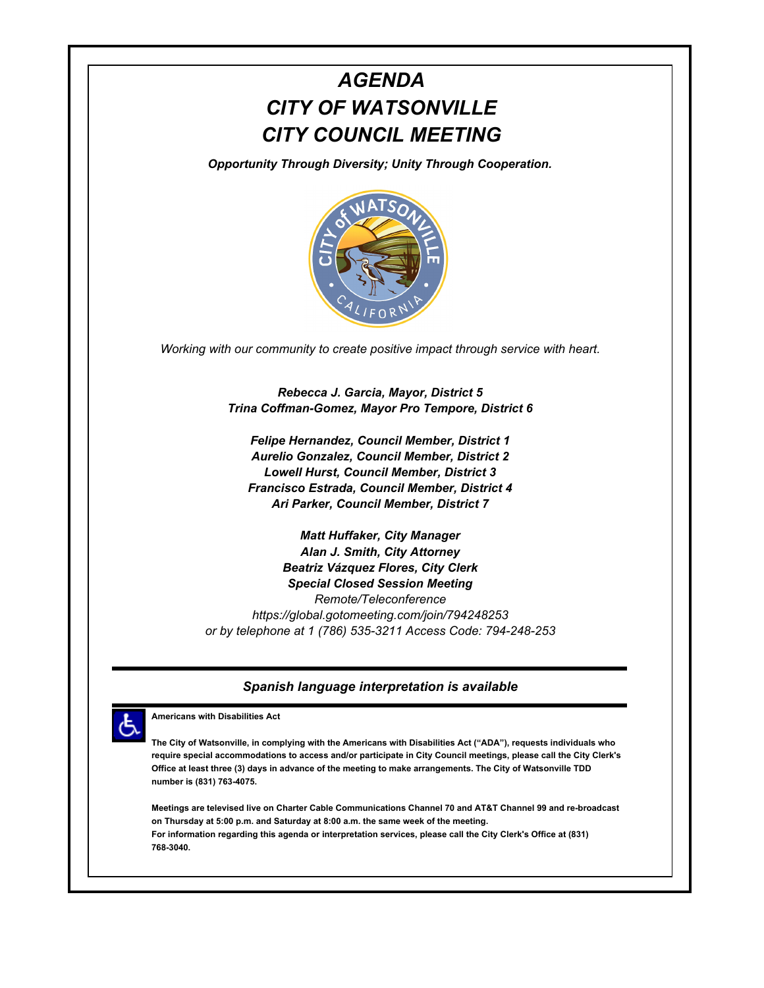# *AGENDA CITY OF WATSONVILLE CITY COUNCIL MEETING*

*Opportunity Through Diversity; Unity Through Cooperation.*



*Working with our community to create positive impact through service with heart.*

*Rebecca J. Garcia, Mayor, District 5 Trina Coffman-Gomez, Mayor Pro Tempore, District 6*

*Felipe Hernandez, Council Member, District 1 Aurelio Gonzalez, Council Member, District 2 Lowell Hurst, Council Member, District 3 Francisco Estrada, Council Member, District 4 Ari Parker, Council Member, District 7*

*Matt Huffaker, City Manager Alan J. Smith, City Attorney Beatriz Vázquez Flores, City Clerk Special Closed Session Meeting Remote/Teleconference https://global.gotomeeting.com/join/794248253 or by telephone at 1 (786) 535-3211 Access Code: 794-248-253*

#### *Spanish language interpretation is available*



**Americans with Disabilities Act**

**The City of Watsonville, in complying with the Americans with Disabilities Act ("ADA"), requests individuals who require special accommodations to access and/or participate in City Council meetings, please call the City Clerk's Office at least three (3) days in advance of the meeting to make arrangements. The City of Watsonville TDD number is (831) 763-4075.**

**Meetings are televised live on Charter Cable Communications Channel 70 and AT&T Channel 99 and re-broadcast on Thursday at 5:00 p.m. and Saturday at 8:00 a.m. the same week of the meeting. For information regarding this agenda or interpretation services, please call the City Clerk's Office at (831) 768-3040.**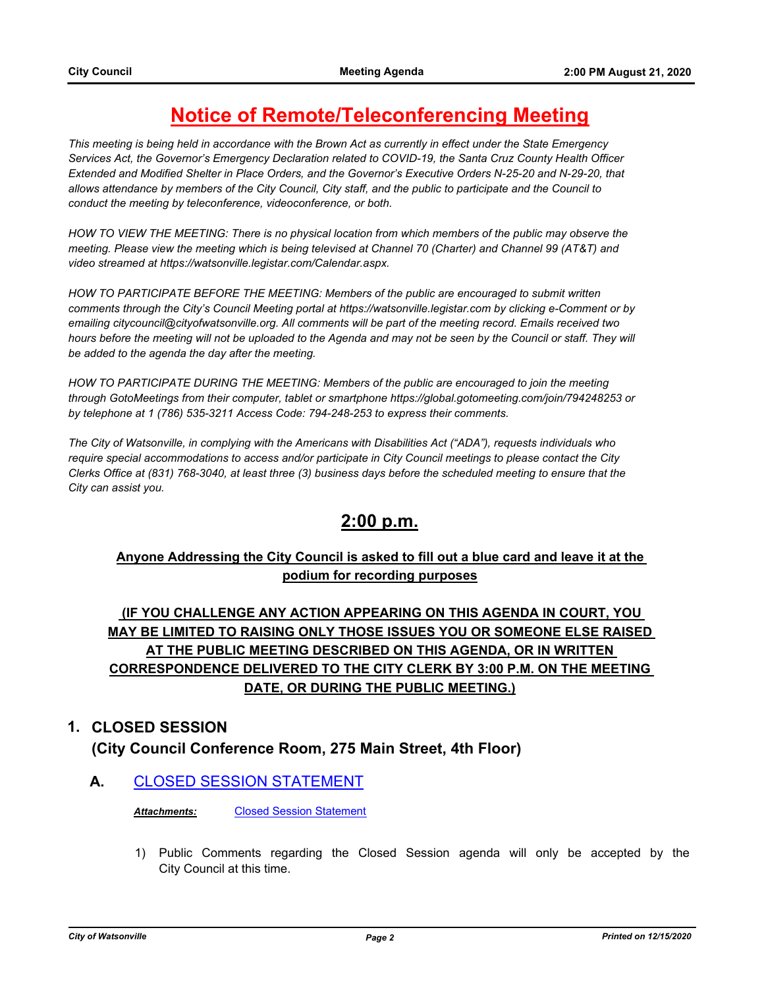## **Notice of Remote/Teleconferencing Meeting**

*This meeting is being held in accordance with the Brown Act as currently in effect under the State Emergency Services Act, the Governor's Emergency Declaration related to COVID-19, the Santa Cruz County Health Officer Extended and Modified Shelter in Place Orders, and the Governor's Executive Orders N-25-20 and N-29-20, that allows attendance by members of the City Council, City staff, and the public to participate and the Council to conduct the meeting by teleconference, videoconference, or both.*

*HOW TO VIEW THE MEETING: There is no physical location from which members of the public may observe the meeting. Please view the meeting which is being televised at Channel 70 (Charter) and Channel 99 (AT&T) and video streamed at https://watsonville.legistar.com/Calendar.aspx.*

*HOW TO PARTICIPATE BEFORE THE MEETING: Members of the public are encouraged to submit written comments through the City's Council Meeting portal at https://watsonville.legistar.com by clicking e-Comment or by emailing citycouncil@cityofwatsonville.org. All comments will be part of the meeting record. Emails received two*  hours before the meeting will not be uploaded to the Agenda and may not be seen by the Council or staff. They will *be added to the agenda the day after the meeting.*

*HOW TO PARTICIPATE DURING THE MEETING: Members of the public are encouraged to join the meeting through GotoMeetings from their computer, tablet or smartphone https://global.gotomeeting.com/join/794248253 or by telephone at 1 (786) 535-3211 Access Code: 794-248-253 to express their comments.* 

*The City of Watsonville, in complying with the Americans with Disabilities Act ("ADA"), requests individuals who require special accommodations to access and/or participate in City Council meetings to please contact the City Clerks Office at (831) 768-3040, at least three (3) business days before the scheduled meeting to ensure that the City can assist you.*

### **2:00 p.m.**

### **Anyone Addressing the City Council is asked to fill out a blue card and leave it at the podium for recording purposes**

### **(IF YOU CHALLENGE ANY ACTION APPEARING ON THIS AGENDA IN COURT, YOU MAY BE LIMITED TO RAISING ONLY THOSE ISSUES YOU OR SOMEONE ELSE RAISED AT THE PUBLIC MEETING DESCRIBED ON THIS AGENDA, OR IN WRITTEN CORRESPONDENCE DELIVERED TO THE CITY CLERK BY 3:00 P.M. ON THE MEETING DATE, OR DURING THE PUBLIC MEETING.)**

#### **1. CLOSED SESSION**

### **(City Council Conference Room, 275 Main Street, 4th Floor)**

### **A.** [CLOSED SESSION STATEMENT](http://watsonville.legistar.com/gateway.aspx?m=l&id=/matter.aspx?key=3362)

*Attachments:* [Closed Session Statement](http://watsonville.legistar.com/gateway.aspx?M=F&ID=b863298e-a809-4c5b-ba48-bb18c4a94843.docx)

1) Public Comments regarding the Closed Session agenda will only be accepted by the City Council at this time.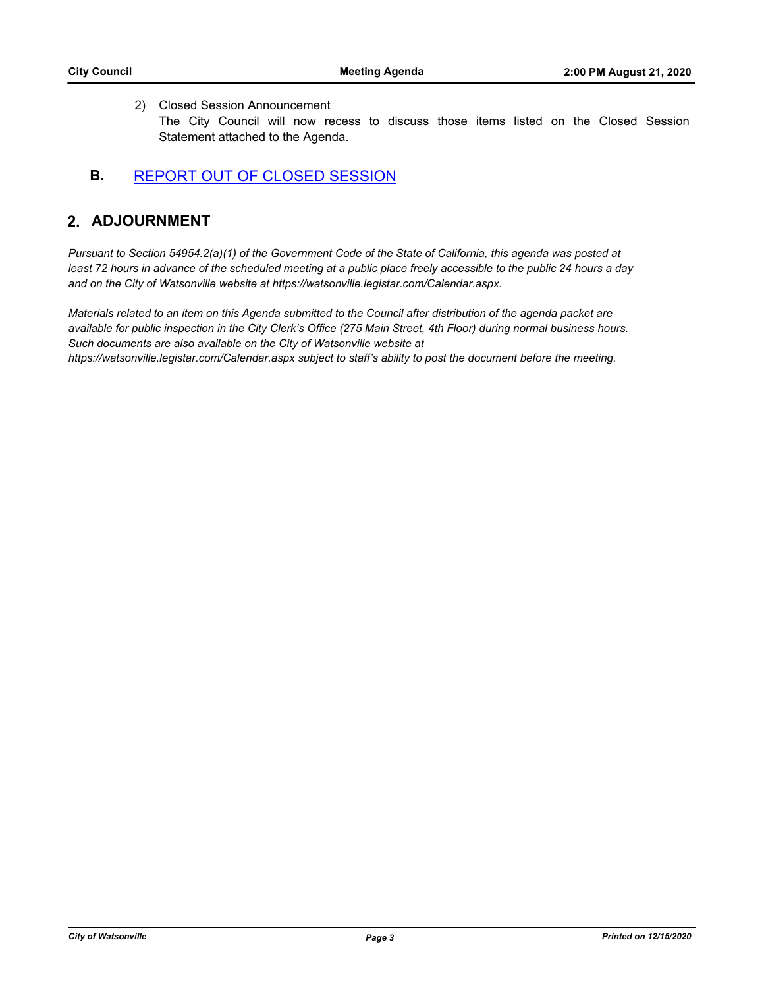#### 2) Closed Session Announcement

The City Council will now recess to discuss those items listed on the Closed Session Statement attached to the Agenda.

#### **B.** [REPORT OUT OF CLOSED SESSION](http://watsonville.legistar.com/gateway.aspx?m=l&id=/matter.aspx?key=3361)

#### **2. ADJOURNMENT**

*Pursuant to Section 54954.2(a)(1) of the Government Code of the State of California, this agenda was posted at*  least 72 hours in advance of the scheduled meeting at a public place freely accessible to the public 24 hours a day *and on the City of Watsonville website at https://watsonville.legistar.com/Calendar.aspx.*

*Materials related to an item on this Agenda submitted to the Council after distribution of the agenda packet are available for public inspection in the City Clerk's Office (275 Main Street, 4th Floor) during normal business hours. Such documents are also available on the City of Watsonville website at https://watsonville.legistar.com/Calendar.aspx subject to staff's ability to post the document before the meeting.*